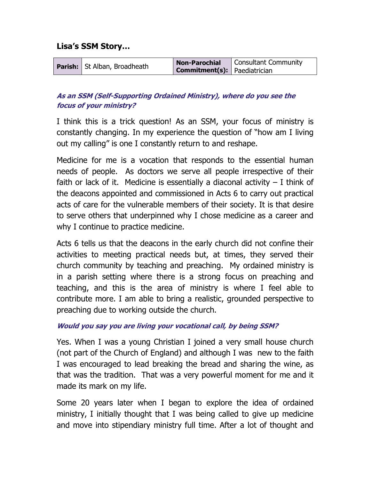## Lisa's SSM Story…

|  | <b>Parish:</b> St Alban, Broadheath | <b>Non-Parochial</b>                | Consultant Community |
|--|-------------------------------------|-------------------------------------|----------------------|
|  |                                     | <b>Commitment(s):</b> Paediatrician |                      |

# As an SSM (Self-Supporting Ordained Ministry), where do you see the focus of your ministry?

I think this is a trick question! As an SSM, your focus of ministry is constantly changing. In my experience the question of "how am I living out my calling" is one I constantly return to and reshape.

Medicine for me is a vocation that responds to the essential human needs of people. As doctors we serve all people irrespective of their faith or lack of it. Medicine is essentially a diaconal activity  $-1$  think of the deacons appointed and commissioned in Acts 6 to carry out practical acts of care for the vulnerable members of their society. It is that desire to serve others that underpinned why I chose medicine as a career and why I continue to practice medicine.

Acts 6 tells us that the deacons in the early church did not confine their activities to meeting practical needs but, at times, they served their church community by teaching and preaching. My ordained ministry is in a parish setting where there is a strong focus on preaching and teaching, and this is the area of ministry is where I feel able to contribute more. I am able to bring a realistic, grounded perspective to preaching due to working outside the church.

#### Would you say you are living your vocational call, by being SSM?

Yes. When I was a young Christian I joined a very small house church (not part of the Church of England) and although I was new to the faith I was encouraged to lead breaking the bread and sharing the wine, as that was the tradition. That was a very powerful moment for me and it made its mark on my life.

Some 20 years later when I began to explore the idea of ordained ministry, I initially thought that I was being called to give up medicine and move into stipendiary ministry full time. After a lot of thought and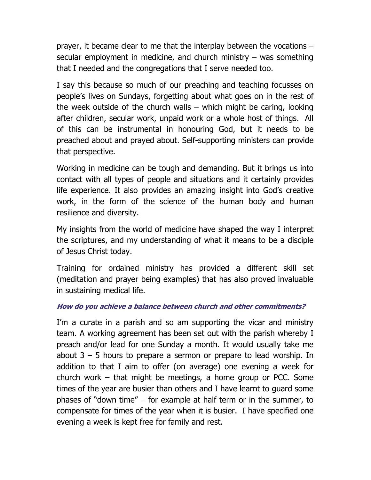prayer, it became clear to me that the interplay between the vocations – secular employment in medicine, and church ministry – was something that I needed and the congregations that I serve needed too.

I say this because so much of our preaching and teaching focusses on people's lives on Sundays, forgetting about what goes on in the rest of the week outside of the church walls – which might be caring, looking after children, secular work, unpaid work or a whole host of things. All of this can be instrumental in honouring God, but it needs to be preached about and prayed about. Self-supporting ministers can provide that perspective.

Working in medicine can be tough and demanding. But it brings us into contact with all types of people and situations and it certainly provides life experience. It also provides an amazing insight into God's creative work, in the form of the science of the human body and human resilience and diversity.

My insights from the world of medicine have shaped the way I interpret the scriptures, and my understanding of what it means to be a disciple of Jesus Christ today.

Training for ordained ministry has provided a different skill set (meditation and prayer being examples) that has also proved invaluable in sustaining medical life.

#### How do you achieve a balance between church and other commitments?

I'm a curate in a parish and so am supporting the vicar and ministry team. A working agreement has been set out with the parish whereby I preach and/or lead for one Sunday a month. It would usually take me about  $3 - 5$  hours to prepare a sermon or prepare to lead worship. In addition to that I aim to offer (on average) one evening a week for church work – that might be meetings, a home group or PCC. Some times of the year are busier than others and I have learnt to guard some phases of "down time" – for example at half term or in the summer, to compensate for times of the year when it is busier. I have specified one evening a week is kept free for family and rest.